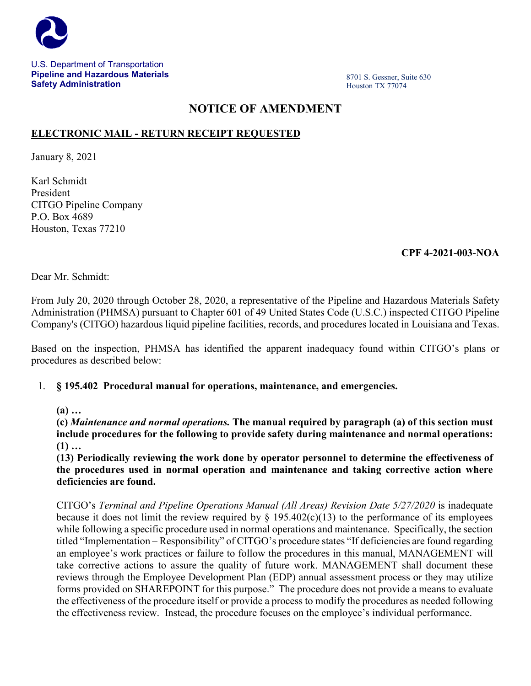

U.S. Department of Transportation **Pipeline and Hazardous Materials Safety Administration**

8701 S. Gessner, Suite 630 Houston TX 77074

# **NOTICE OF AMENDMENT**

## **ELECTRONIC MAIL - RETURN RECEIPT REQUESTED**

January 8, 2021

Karl Schmidt President CITGO Pipeline Company P.O. Box 4689 Houston, Texas 77210

### **CPF 4-2021-003-NOA**

Dear Mr. Schmidt:

From July 20, 2020 through October 28, 2020, a representative of the Pipeline and Hazardous Materials Safety Administration (PHMSA) pursuant to Chapter 601 of 49 United States Code (U.S.C.) inspected CITGO Pipeline Company's (CITGO) hazardous liquid pipeline facilities, records, and procedures located in Louisiana and Texas.

Based on the inspection, PHMSA has identified the apparent inadequacy found within CITGO's plans or procedures as described below:

### 1. **§ 195.402 Procedural manual for operations, maintenance, and emergencies.**

**(a) …**

**(c)** *Maintenance and normal operations.* **The manual required by paragraph (a) of this section must include procedures for the following to provide safety during maintenance and normal operations: (1) …**

**(13) Periodically reviewing the work done by operator personnel to determine the effectiveness of the procedures used in normal operation and maintenance and taking corrective action where deficiencies are found.**

CITGO's *Terminal and Pipeline Operations Manual (All Areas) Revision Date 5/27/2020* is inadequate because it does not limit the review required by  $\S$  195.402(c)(13) to the performance of its employees while following a specific procedure used in normal operations and maintenance. Specifically, the section titled "Implementation – Responsibility" of CITGO's procedure states "If deficiencies are found regarding an employee's work practices or failure to follow the procedures in this manual, MANAGEMENT will take corrective actions to assure the quality of future work. MANAGEMENT shall document these reviews through the Employee Development Plan (EDP) annual assessment process or they may utilize forms provided on SHAREPOINT for this purpose." The procedure does not provide a means to evaluate the effectiveness of the procedure itself or provide a process to modify the procedures as needed following the effectiveness review. Instead, the procedure focuses on the employee's individual performance.